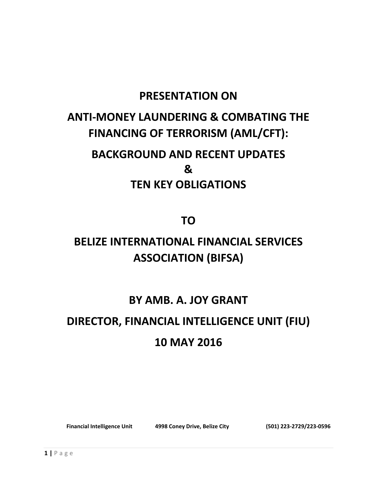### **PRESENTATION ON**

### **ANTI-MONEY LAUNDERING & COMBATING THE FINANCING OF TERRORISM (AML/CFT):**

## **BACKGROUND AND RECENT UPDATES & TEN KEY OBLIGATIONS**

**TO**

## **BELIZE INTERNATIONAL FINANCIAL SERVICES ASSOCIATION (BIFSA)**

### **BY AMB. A. JOY GRANT**

# **DIRECTOR, FINANCIAL INTELLIGENCE UNIT (FIU) 10 MAY 2016**

**Financial Intelligence Unit 4998 Coney Drive, Belize City (501) 223-2729/223-0596**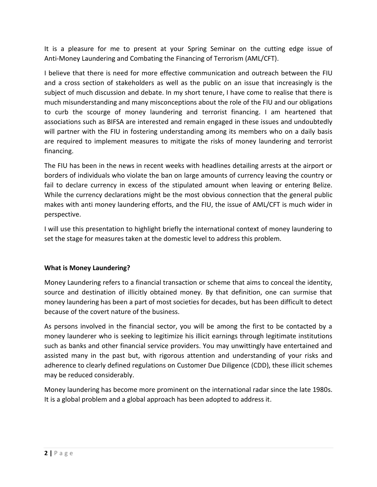It is a pleasure for me to present at your Spring Seminar on the cutting edge issue of Anti-Money Laundering and Combating the Financing of Terrorism (AML/CFT).

I believe that there is need for more effective communication and outreach between the FIU and a cross section of stakeholders as well as the public on an issue that increasingly is the subject of much discussion and debate. In my short tenure, I have come to realise that there is much misunderstanding and many misconceptions about the role of the FIU and our obligations to curb the scourge of money laundering and terrorist financing. I am heartened that associations such as BIFSA are interested and remain engaged in these issues and undoubtedly will partner with the FIU in fostering understanding among its members who on a daily basis are required to implement measures to mitigate the risks of money laundering and terrorist financing.

The FIU has been in the news in recent weeks with headlines detailing arrests at the airport or borders of individuals who violate the ban on large amounts of currency leaving the country or fail to declare currency in excess of the stipulated amount when leaving or entering Belize. While the currency declarations might be the most obvious connection that the general public makes with anti money laundering efforts, and the FIU, the issue of AML/CFT is much wider in perspective.

I will use this presentation to highlight briefly the international context of money laundering to set the stage for measures taken at the domestic level to address this problem.

#### **What is Money Laundering?**

Money Laundering refers to a financial transaction or scheme that aims to conceal the identity, source and destination of illicitly obtained money. By that definition, one can surmise that money laundering has been a part of most societies for decades, but has been difficult to detect because of the covert nature of the business.

As persons involved in the financial sector, you will be among the first to be contacted by a money launderer who is seeking to legitimize his illicit earnings through legitimate institutions such as banks and other financial service providers. You may unwittingly have entertained and assisted many in the past but, with rigorous attention and understanding of your risks and adherence to clearly defined regulations on Customer Due Diligence (CDD), these illicit schemes may be reduced considerably.

Money laundering has become more prominent on the international radar since the late 1980s. It is a global problem and a global approach has been adopted to address it.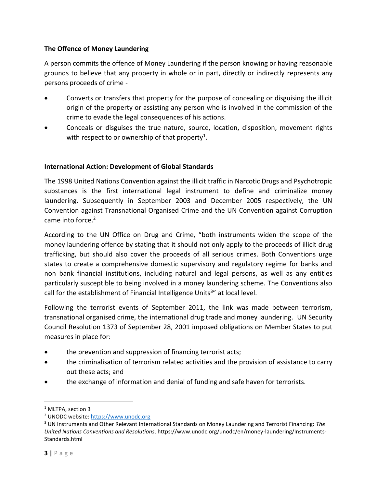#### **The Offence of Money Laundering**

A person commits the offence of Money Laundering if the person knowing or having reasonable grounds to believe that any property in whole or in part, directly or indirectly represents any persons proceeds of crime -

- Converts or transfers that property for the purpose of concealing or disguising the illicit origin of the property or assisting any person who is involved in the commission of the crime to evade the legal consequences of his actions.
- Conceals or disguises the true nature, source, location, disposition, movement rights with respect to or ownership of that property<sup>1</sup>.

#### **International Action: Development of Global Standards**

The 1998 United Nations Convention against the illicit traffic in Narcotic Drugs and Psychotropic substances is the first international legal instrument to define and criminalize money laundering. Subsequently in September 2003 and December 2005 respectively, the UN Convention against Transnational Organised Crime and the UN Convention against Corruption came into force. 2

According to the UN Office on Drug and Crime, "both instruments widen the scope of the money laundering offence by stating that it should not only apply to the proceeds of illicit drug trafficking, but should also cover the proceeds of all serious crimes. Both Conventions urge states to create a comprehensive domestic supervisory and regulatory regime for banks and non bank financial institutions, including natural and legal persons, as well as any entities particularly susceptible to being involved in a money laundering scheme. The Conventions also call for the establishment of Financial Intelligence Units<sup>3</sup>" at local level.

Following the terrorist events of September 2011, the link was made between terrorism, transnational organised crime, the international drug trade and money laundering. UN Security Council Resolution 1373 of September 28, 2001 imposed obligations on Member States to put measures in place for:

- the prevention and suppression of financing terrorist acts;
- the criminalisation of terrorism related activities and the provision of assistance to carry out these acts; and
- the exchange of information and denial of funding and safe haven for terrorists.

<sup>&</sup>lt;sup>1</sup> MLTPA, section 3

<sup>2</sup> UNODC website[: https://www.unodc.org](https://www.unodc.org/)

<sup>3</sup> UN Instruments and Other Relevant International Standards on Money Laundering and Terrorist Financing: *The United Nations Conventions and Resolutions*. https://www.unodc.org/unodc/en/money-laundering/Instruments-Standards.html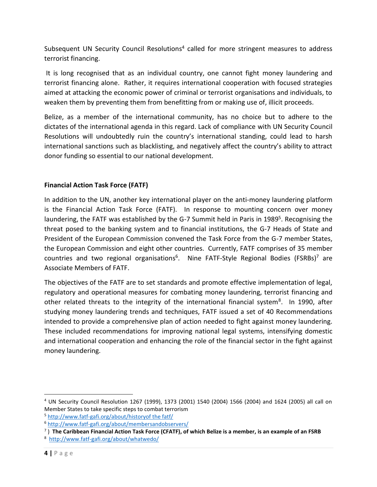Subsequent UN Security Council Resolutions<sup>4</sup> called for more stringent measures to address terrorist financing.

It is long recognised that as an individual country, one cannot fight money laundering and terrorist financing alone. Rather, it requires international cooperation with focused strategies aimed at attacking the economic power of criminal or terrorist organisations and individuals, to weaken them by preventing them from benefitting from or making use of, illicit proceeds.

Belize, as a member of the international community, has no choice but to adhere to the dictates of the international agenda in this regard. Lack of compliance with UN Security Council Resolutions will undoubtedly ruin the country's international standing, could lead to harsh international sanctions such as blacklisting, and negatively affect the country's ability to attract donor funding so essential to our national development.

#### **Financial Action Task Force (FATF)**

In addition to the UN, another key international player on the anti-money laundering platform is the Financial Action Task Force (FATF). In response to mounting concern over money laundering, the FATF was established by the G-7 Summit held in Paris in 1989<sup>5</sup>. Recognising the threat posed to the banking system and to financial institutions, the G-7 Heads of State and President of the European Commission convened the Task Force from the G-7 member States, the European Commission and eight other countries. Currently, FATF comprises of 35 member countries and two regional organisations<sup>6</sup>. Nine FATF-Style Regional Bodies (FSRBs)<sup>7</sup> are Associate Members of FATF.

The objectives of the FATF are to set standards and promote effective implementation of legal, regulatory and operational measures for combating money laundering, terrorist financing and other related threats to the integrity of the international financial system<sup>8</sup>. In 1990, after studying money laundering trends and techniques, FATF issued a set of 40 Recommendations intended to provide a comprehensive plan of action needed to fight against money laundering. These included recommendations for improving national legal systems, intensifying domestic and international cooperation and enhancing the role of the financial sector in the fight against money laundering.

 $\overline{a}$ 

<sup>4</sup> UN Security Council Resolution 1267 (1999), 1373 (2001) 1540 (2004) 1566 (2004) and 1624 (2005) all call on Member States to take specific steps to combat terrorism

<sup>5</sup> [http://www.fatf-gafi.org/about/historyof the fatf/](http://www.fatf-gafi.org/about/historyof%20the%20fatf/)

<sup>6</sup> <http://www.fatf-gafi.org/about/membersandobservers/>

<sup>7</sup> ) **The Caribbean Financial Action Task Force (CFATF), of which Belize is a member, is an example of an FSRB**

<sup>8</sup> <http://www.fatf-gafi.org/about/whatwedo/>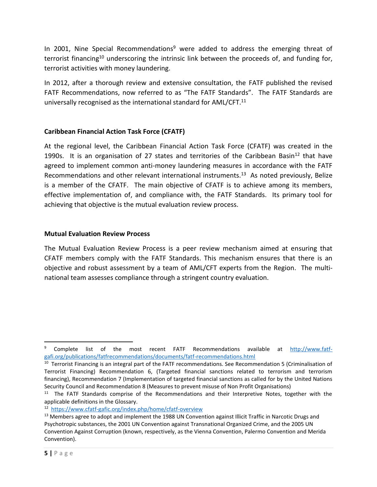In 2001, Nine Special Recommendations<sup>9</sup> were added to address the emerging threat of terrorist financing<sup>10</sup> underscoring the intrinsic link between the proceeds of, and funding for, terrorist activities with money laundering.

In 2012, after a thorough review and extensive consultation, the FATF published the revised FATF Recommendations, now referred to as "The FATF Standards". The FATF Standards are universally recognised as the international standard for AML/CFT.<sup>11</sup>

#### **Caribbean Financial Action Task Force (CFATF)**

At the regional level, the Caribbean Financial Action Task Force (CFATF) was created in the 1990s. It is an organisation of 27 states and territories of the Caribbean Basin<sup>12</sup> that have agreed to implement common anti-money laundering measures in accordance with the FATF Recommendations and other relevant international instruments.<sup>13</sup> As noted previously, Belize is a member of the CFATF. The main objective of CFATF is to achieve among its members, effective implementation of, and compliance with, the FATF Standards. Its primary tool for achieving that objective is the mutual evaluation review process.

#### **Mutual Evaluation Review Process**

The Mutual Evaluation Review Process is a peer review mechanism aimed at ensuring that CFATF members comply with the FATF Standards. This mechanism ensures that there is an objective and robust assessment by a team of AML/CFT experts from the Region. The multinational team assesses compliance through a stringent country evaluation.

 $\overline{a}$ 

<sup>9</sup> Complete list of the most recent FATF Recommendations available at [http://www.fatf](http://www.fatf-gafi.org/publications/fatfrecommendations/documents/fatf-recommendations.html)[gafi.org/publications/fatfrecommendations/documents/fatf-recommendations.html](http://www.fatf-gafi.org/publications/fatfrecommendations/documents/fatf-recommendations.html)

<sup>&</sup>lt;sup>10</sup> Terrorist Financing is an integral part of the FATF recommendations. See Recommendation 5 (Criminalisation of Terrorist Financing) Recommendation 6, (Targeted financial sanctions related to terrorism and terrorism financing), Recommendation 7 (Implementation of targeted financial sanctions as called for by the United Nations Security Council and Recommendation 8 (Measures to prevent misuse of Non Profit Organisations)

<sup>&</sup>lt;sup>11</sup> The FATF Standards comprise of the Recommendations and their Interpretive Notes, together with the applicable definitions in the Glossary.

<sup>&</sup>lt;sup>12</sup> <https://www.cfatf-gafic.org/index.php/home/cfatf-overview>

<sup>&</sup>lt;sup>13</sup> Members agree to adopt and implement the 1988 UN Convention against Illicit Traffic in Narcotic Drugs and Psychotropic substances, the 2001 UN Convention against Transnational Organized Crime, and the 2005 UN Convention Against Corruption (known, respectively, as the Vienna Convention, Palermo Convention and Merida Convention).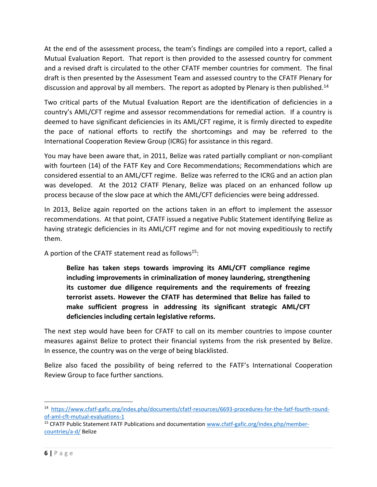At the end of the assessment process, the team's findings are compiled into a report, called a Mutual Evaluation Report. That report is then provided to the assessed country for comment and a revised draft is circulated to the other CFATF member countries for comment. The final draft is then presented by the Assessment Team and assessed country to the CFATF Plenary for discussion and approval by all members. The report as adopted by Plenary is then published.<sup>14</sup>

Two critical parts of the Mutual Evaluation Report are the identification of deficiencies in a country's AML/CFT regime and assessor recommendations for remedial action. If a country is deemed to have significant deficiencies in its AML/CFT regime, it is firmly directed to expedite the pace of national efforts to rectify the shortcomings and may be referred to the International Cooperation Review Group (ICRG) for assistance in this regard.

You may have been aware that, in 2011, Belize was rated partially compliant or non-compliant with fourteen (14) of the FATF Key and Core Recommendations; Recommendations which are considered essential to an AML/CFT regime. Belize was referred to the ICRG and an action plan was developed. At the 2012 CFATF Plenary, Belize was placed on an enhanced follow up process because of the slow pace at which the AML/CFT deficiencies were being addressed.

In 2013, Belize again reported on the actions taken in an effort to implement the assessor recommendations. At that point, CFATF issued a negative Public Statement identifying Belize as having strategic deficiencies in its AML/CFT regime and for not moving expeditiously to rectify them.

A portion of the CFATF statement read as follows<sup>15</sup>:

**Belize has taken steps towards improving its AML/CFT compliance regime including improvements in criminalization of money laundering, strengthening its customer due diligence requirements and the requirements of freezing terrorist assets. However the CFATF has determined that Belize has failed to make sufficient progress in addressing its significant strategic AML/CFT deficiencies including certain legislative reforms.**

The next step would have been for CFATF to call on its member countries to impose counter measures against Belize to protect their financial systems from the risk presented by Belize. In essence, the country was on the verge of being blacklisted.

Belize also faced the possibility of being referred to the FATF's International Cooperation Review Group to face further sanctions.

<sup>&</sup>lt;sup>14</sup> [https://www.cfatf-gafic.org/index.php/documents/cfatf-resources/6693-procedures-for-the-fatf-fourth-round](https://www.cfatf-gafic.org/index.php/documents/cfatf-resources/6693-procedures-for-the-fatf-fourth-round-of-aml-cft-mutual-evaluations-1)[of-aml-cft-mutual-evaluations-1](https://www.cfatf-gafic.org/index.php/documents/cfatf-resources/6693-procedures-for-the-fatf-fourth-round-of-aml-cft-mutual-evaluations-1)

<sup>&</sup>lt;sup>15</sup> CFATF Public Statement FATF Publications and documentation [www.cfatf-gafic.org/index.php/member](http://www.cfatf-gafic.org/index.php/member-countries/a-d/)[countries/a-d/](http://www.cfatf-gafic.org/index.php/member-countries/a-d/) Belize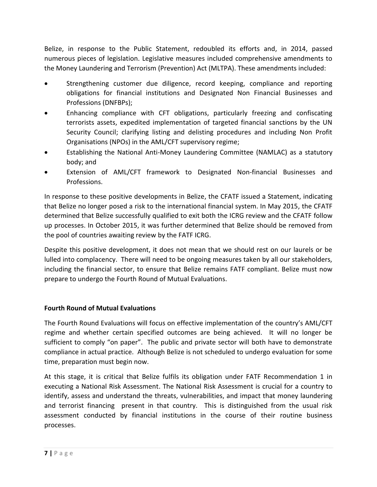Belize, in response to the Public Statement, redoubled its efforts and, in 2014, passed numerous pieces of legislation. Legislative measures included comprehensive amendments to the Money Laundering and Terrorism (Prevention) Act (MLTPA). These amendments included:

- Strengthening customer due diligence, record keeping, compliance and reporting obligations for financial institutions and Designated Non Financial Businesses and Professions (DNFBPs);
- Enhancing compliance with CFT obligations, particularly freezing and confiscating terrorists assets, expedited implementation of targeted financial sanctions by the UN Security Council; clarifying listing and delisting procedures and including Non Profit Organisations (NPOs) in the AML/CFT supervisory regime;
- Establishing the National Anti-Money Laundering Committee (NAMLAC) as a statutory body; and
- Extension of AML/CFT framework to Designated Non-financial Businesses and Professions.

In response to these positive developments in Belize, the CFATF issued a Statement, indicating that Belize no longer posed a risk to the international financial system. In May 2015, the CFATF determined that Belize successfully qualified to exit both the ICRG review and the CFATF follow up processes. In October 2015, it was further determined that Belize should be removed from the pool of countries awaiting review by the FATF ICRG.

Despite this positive development, it does not mean that we should rest on our laurels or be lulled into complacency. There will need to be ongoing measures taken by all our stakeholders, including the financial sector, to ensure that Belize remains FATF compliant. Belize must now prepare to undergo the Fourth Round of Mutual Evaluations.

#### **Fourth Round of Mutual Evaluations**

The Fourth Round Evaluations will focus on effective implementation of the country's AML/CFT regime and whether certain specified outcomes are being achieved. It will no longer be sufficient to comply "on paper". The public and private sector will both have to demonstrate compliance in actual practice. Although Belize is not scheduled to undergo evaluation for some time, preparation must begin now.

At this stage, it is critical that Belize fulfils its obligation under FATF Recommendation 1 in executing a National Risk Assessment. The National Risk Assessment is crucial for a country to identify, assess and understand the threats, vulnerabilities, and impact that money laundering and terrorist financing present in that country. This is distinguished from the usual risk assessment conducted by financial institutions in the course of their routine business processes.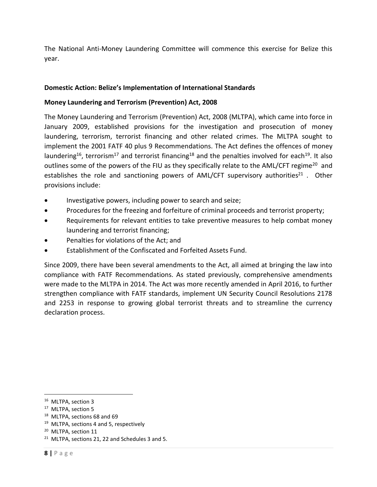The National Anti-Money Laundering Committee will commence this exercise for Belize this year.

#### **Domestic Action: Belize's Implementation of International Standards**

#### **Money Laundering and Terrorism (Prevention) Act, 2008**

The Money Laundering and Terrorism (Prevention) Act, 2008 (MLTPA), which came into force in January 2009, established provisions for the investigation and prosecution of money laundering, terrorism, terrorist financing and other related crimes. The MLTPA sought to implement the 2001 FATF 40 plus 9 Recommendations. The Act defines the offences of money laundering<sup>16</sup>, terrorism<sup>17</sup> and terrorist financing<sup>18</sup> and the penalties involved for each<sup>19</sup>. It also outlines some of the powers of the FIU as they specifically relate to the AML/CFT regime<sup>20</sup> and establishes the role and sanctioning powers of AML/CFT supervisory authorities<sup>21</sup>. Other provisions include:

- Investigative powers, including power to search and seize;
- Procedures for the freezing and forfeiture of criminal proceeds and terrorist property;
- Requirements for relevant entities to take preventive measures to help combat money laundering and terrorist financing;
- Penalties for violations of the Act; and
- Establishment of the Confiscated and Forfeited Assets Fund.

Since 2009, there have been several amendments to the Act, all aimed at bringing the law into compliance with FATF Recommendations. As stated previously, comprehensive amendments were made to the MLTPA in 2014. The Act was more recently amended in April 2016, to further strengthen compliance with FATF standards, implement UN Security Council Resolutions 2178 and 2253 in response to growing global terrorist threats and to streamline the currency declaration process.

<sup>18</sup> MLTPA, sections 68 and 69

 $\overline{a}$ 

<sup>&</sup>lt;sup>16</sup> MLTPA, section 3

<sup>&</sup>lt;sup>17</sup> MLTPA, section 5

<sup>&</sup>lt;sup>19</sup> MLTPA, sections 4 and 5, respectively

<sup>&</sup>lt;sup>20</sup> MLTPA, section 11

 $21$  MLTPA, sections 21, 22 and Schedules 3 and 5.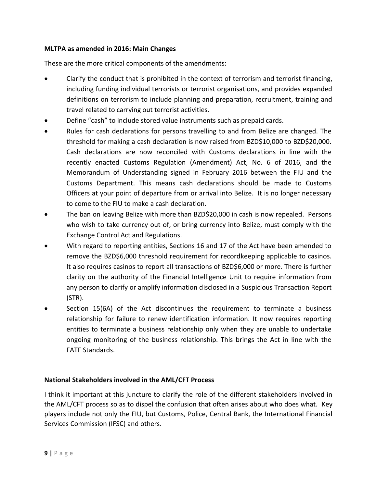#### **MLTPA as amended in 2016: Main Changes**

These are the more critical components of the amendments:

- Clarify the conduct that is prohibited in the context of terrorism and terrorist financing, including funding individual terrorists or terrorist organisations, and provides expanded definitions on terrorism to include planning and preparation, recruitment, training and travel related to carrying out terrorist activities.
- Define "cash" to include stored value instruments such as prepaid cards.
- Rules for cash declarations for persons travelling to and from Belize are changed. The threshold for making a cash declaration is now raised from BZD\$10,000 to BZD\$20,000. Cash declarations are now reconciled with Customs declarations in line with the recently enacted Customs Regulation (Amendment) Act, No. 6 of 2016, and the Memorandum of Understanding signed in February 2016 between the FIU and the Customs Department. This means cash declarations should be made to Customs Officers at your point of departure from or arrival into Belize. It is no longer necessary to come to the FIU to make a cash declaration.
- The ban on leaving Belize with more than BZD\$20,000 in cash is now repealed. Persons who wish to take currency out of, or bring currency into Belize, must comply with the Exchange Control Act and Regulations.
- With regard to reporting entities, Sections 16 and 17 of the Act have been amended to remove the BZD\$6,000 threshold requirement for recordkeeping applicable to casinos. It also requires casinos to report all transactions of BZD\$6,000 or more. There is further clarity on the authority of the Financial Intelligence Unit to require information from any person to clarify or amplify information disclosed in a Suspicious Transaction Report (STR).
- Section 15(6A) of the Act discontinues the requirement to terminate a business relationship for failure to renew identification information. It now requires reporting entities to terminate a business relationship only when they are unable to undertake ongoing monitoring of the business relationship. This brings the Act in line with the FATF Standards.

#### **National Stakeholders involved in the AML/CFT Process**

I think it important at this juncture to clarify the role of the different stakeholders involved in the AML/CFT process so as to dispel the confusion that often arises about who does what. Key players include not only the FIU, but Customs, Police, Central Bank, the International Financial Services Commission (IFSC) and others.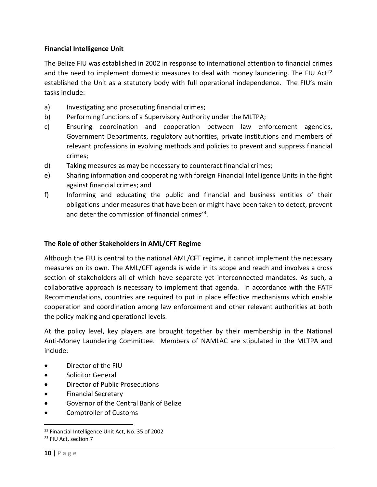#### **Financial Intelligence Unit**

The Belize FIU was established in 2002 in response to international attention to financial crimes and the need to implement domestic measures to deal with money laundering. The FIU Act<sup>22</sup> established the Unit as a statutory body with full operational independence. The FIU's main tasks include:

- a) Investigating and prosecuting financial crimes;
- b) Performing functions of a Supervisory Authority under the MLTPA;
- c) Ensuring coordination and cooperation between law enforcement agencies, Government Departments, regulatory authorities, private institutions and members of relevant professions in evolving methods and policies to prevent and suppress financial crimes;
- d) Taking measures as may be necessary to counteract financial crimes;
- e) Sharing information and cooperating with foreign Financial Intelligence Units in the fight against financial crimes; and
- f) Informing and educating the public and financial and business entities of their obligations under measures that have been or might have been taken to detect, prevent and deter the commission of financial crimes<sup>23</sup>.

#### **The Role of other Stakeholders in AML/CFT Regime**

Although the FIU is central to the national AML/CFT regime, it cannot implement the necessary measures on its own. The AML/CFT agenda is wide in its scope and reach and involves a cross section of stakeholders all of which have separate yet interconnected mandates. As such, a collaborative approach is necessary to implement that agenda. In accordance with the FATF Recommendations, countries are required to put in place effective mechanisms which enable cooperation and coordination among law enforcement and other relevant authorities at both the policy making and operational levels.

At the policy level, key players are brought together by their membership in the National Anti-Money Laundering Committee. Members of NAMLAC are stipulated in the MLTPA and include:

- Director of the FIU
- **•** Solicitor General
- Director of Public Prosecutions
- Financial Secretary
- Governor of the Central Bank of Belize
- Comptroller of Customs

<sup>22</sup> Financial Intelligence Unit Act, No. 35 of 2002 <sup>23</sup> FIU Act, section 7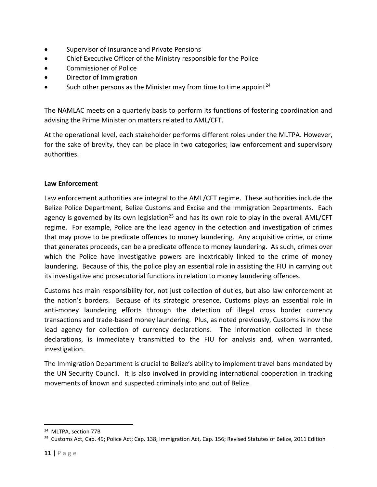- Supervisor of Insurance and Private Pensions
- Chief Executive Officer of the Ministry responsible for the Police
- Commissioner of Police
- Director of Immigration
- $\bullet$  Such other persons as the Minister may from time to time appoint<sup>24</sup>

The NAMLAC meets on a quarterly basis to perform its functions of fostering coordination and advising the Prime Minister on matters related to AML/CFT.

At the operational level, each stakeholder performs different roles under the MLTPA. However, for the sake of brevity, they can be place in two categories; law enforcement and supervisory authorities.

#### **Law Enforcement**

Law enforcement authorities are integral to the AML/CFT regime. These authorities include the Belize Police Department, Belize Customs and Excise and the Immigration Departments. Each agency is governed by its own legislation<sup>25</sup> and has its own role to play in the overall AML/CFT regime. For example, Police are the lead agency in the detection and investigation of crimes that may prove to be predicate offences to money laundering. Any acquisitive crime, or crime that generates proceeds, can be a predicate offence to money laundering. As such, crimes over which the Police have investigative powers are inextricably linked to the crime of money laundering. Because of this, the police play an essential role in assisting the FIU in carrying out its investigative and prosecutorial functions in relation to money laundering offences.

Customs has main responsibility for, not just collection of duties, but also law enforcement at the nation's borders. Because of its strategic presence, Customs plays an essential role in anti-money laundering efforts through the detection of illegal cross border currency transactions and trade-based money laundering. Plus, as noted previously, Customs is now the lead agency for collection of currency declarations. The information collected in these declarations, is immediately transmitted to the FIU for analysis and, when warranted, investigation.

The Immigration Department is crucial to Belize's ability to implement travel bans mandated by the UN Security Council. It is also involved in providing international cooperation in tracking movements of known and suspected criminals into and out of Belize.

<sup>&</sup>lt;sup>24</sup> MLTPA, section 77B

<sup>&</sup>lt;sup>25</sup> Customs Act, Cap. 49; Police Act; Cap. 138; Immigration Act, Cap. 156; Revised Statutes of Belize, 2011 Edition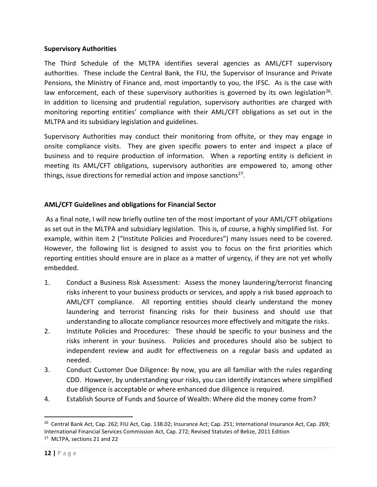#### **Supervisory Authorities**

The Third Schedule of the MLTPA identifies several agencies as AML/CFT supervisory authorities. These include the Central Bank, the FIU, the Supervisor of Insurance and Private Pensions, the Ministry of Finance and, most importantly to you, the IFSC. As is the case with law enforcement, each of these supervisory authorities is governed by its own legislation<sup>26</sup>. In addition to licensing and prudential regulation, supervisory authorities are charged with monitoring reporting entities' compliance with their AML/CFT obligations as set out in the MLTPA and its subsidiary legislation and guidelines.

Supervisory Authorities may conduct their monitoring from offsite, or they may engage in onsite compliance visits. They are given specific powers to enter and inspect a place of business and to require production of information. When a reporting entity is deficient in meeting its AML/CFT obligations, supervisory authorities are empowered to, among other things, issue directions for remedial action and impose sanctions<sup>27</sup>.

#### **AML/CFT Guidelines and obligations for Financial Sector**

As a final note, I will now briefly outline ten of the most important of your AML/CFT obligations as set out in the MLTPA and subsidiary legislation. This is, of course, a highly simplified list. For example, within item 2 ("Institute Policies and Procedures") many issues need to be covered. However, the following list is designed to assist you to focus on the first priorities which reporting entities should ensure are in place as a matter of urgency, if they are not yet wholly embedded.

- 1. Conduct a Business Risk Assessment: Assess the money laundering/terrorist financing risks inherent to your business products or services, and apply a risk based approach to AML/CFT compliance. All reporting entities should clearly understand the money laundering and terrorist financing risks for their business and should use that understanding to allocate compliance resources more effectively and mitigate the risks.
- 2. Institute Policies and Procedures: These should be specific to your business and the risks inherent in your business. Policies and procedures should also be subject to independent review and audit for effectiveness on a regular basis and updated as needed.
- 3. Conduct Customer Due Diligence: By now, you are all familiar with the rules regarding CDD. However, by understanding your risks, you can identify instances where simplified due diligence is acceptable or where enhanced due diligence is required.
- 4. Establish Source of Funds and Source of Wealth: Where did the money come from?

 $\overline{\phantom{a}}$ 

<sup>&</sup>lt;sup>26</sup> Central Bank Act, Cap. 262; FIU Act, Cap. 138.02; Insurance Act; Cap. 251; International Insurance Act, Cap. 269; International Financial Services Commission Act, Cap. 272; Revised Statutes of Belize, 2011 Edition <sup>27</sup> MLTPA, sections 21 and 22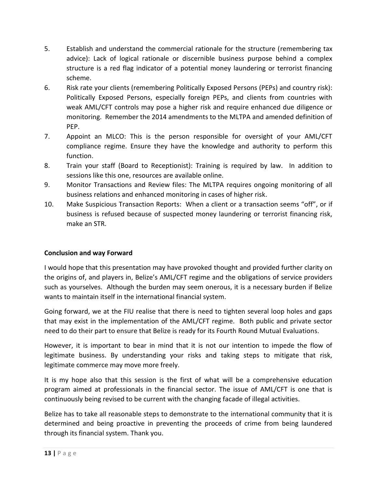- 5. Establish and understand the commercial rationale for the structure (remembering tax advice): Lack of logical rationale or discernible business purpose behind a complex structure is a red flag indicator of a potential money laundering or terrorist financing scheme.
- 6. Risk rate your clients (remembering Politically Exposed Persons (PEPs) and country risk): Politically Exposed Persons, especially foreign PEPs, and clients from countries with weak AML/CFT controls may pose a higher risk and require enhanced due diligence or monitoring. Remember the 2014 amendments to the MLTPA and amended definition of PEP.
- 7. Appoint an MLCO: This is the person responsible for oversight of your AML/CFT compliance regime. Ensure they have the knowledge and authority to perform this function.
- 8. Train your staff (Board to Receptionist): Training is required by law. In addition to sessions like this one, resources are available online.
- 9. Monitor Transactions and Review files: The MLTPA requires ongoing monitoring of all business relations and enhanced monitoring in cases of higher risk.
- 10. Make Suspicious Transaction Reports: When a client or a transaction seems "off", or if business is refused because of suspected money laundering or terrorist financing risk, make an STR.

#### **Conclusion and way Forward**

I would hope that this presentation may have provoked thought and provided further clarity on the origins of, and players in, Belize's AML/CFT regime and the obligations of service providers such as yourselves. Although the burden may seem onerous, it is a necessary burden if Belize wants to maintain itself in the international financial system.

Going forward, we at the FIU realise that there is need to tighten several loop holes and gaps that may exist in the implementation of the AML/CFT regime. Both public and private sector need to do their part to ensure that Belize is ready for its Fourth Round Mutual Evaluations.

However, it is important to bear in mind that it is not our intention to impede the flow of legitimate business. By understanding your risks and taking steps to mitigate that risk, legitimate commerce may move more freely.

It is my hope also that this session is the first of what will be a comprehensive education program aimed at professionals in the financial sector. The issue of AML/CFT is one that is continuously being revised to be current with the changing facade of illegal activities.

Belize has to take all reasonable steps to demonstrate to the international community that it is determined and being proactive in preventing the proceeds of crime from being laundered through its financial system. Thank you.